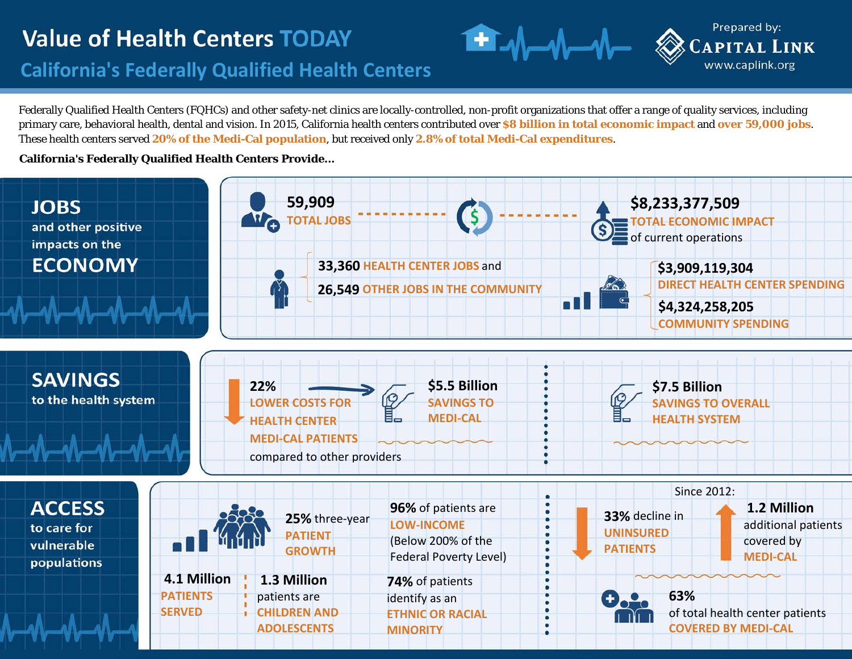# **Value of Health Centers TODAY**

### **California's Federally Qualified Health Centers**

Federally Qualified Health Centers (FQHCs) and other safety-net clinics are locally-controlled, non-profit organizations that offer a range of quality services, including primary care, behavioral health, dental and vision. In 2015, California health centers contributed over **\$8 billion in total economic impact** and **over 59,000 jobs**. These health centers served **20% of the Medi-Cal population**, but received only **2.8% of total Medi-Cal expenditures**.

Prepared by:

**CAPITAL LINK** www.caplink.org

#### **California's Federally Qualified Health Centers Provide...**

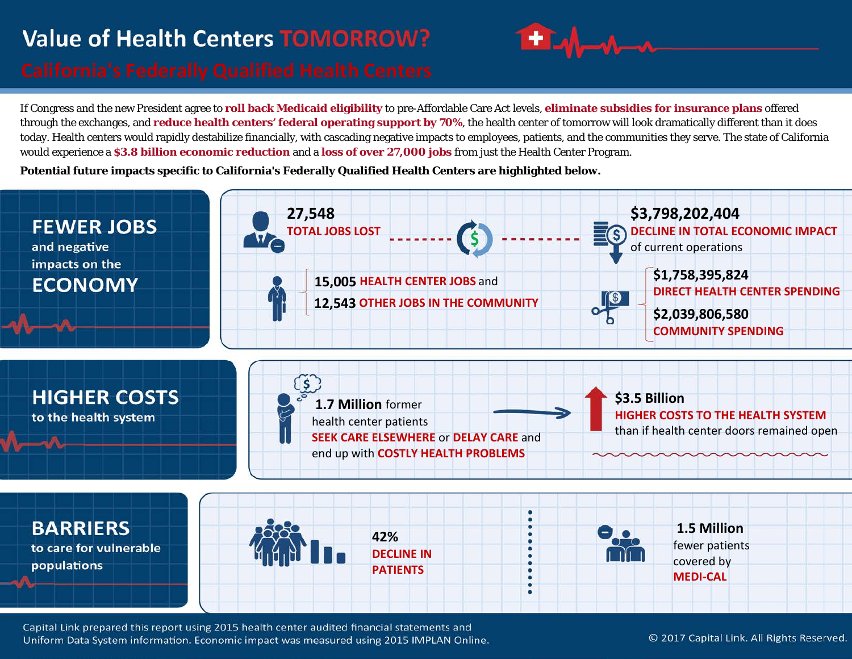# **Value of Health Centers TOMORROW?**



If Congress and the new President agree to **roll back Medicaid eligibility** to pre-Affordable Care Act levels, **eliminate subsidies for insurance plans** offered through the exchanges, and **reduce health centers' federal operating support by 70%**, the health center of tomorrow will look dramatically different than it does today. Health centers would rapidly destabilize financially, with cascading negative impacts to employees, patients, and the communities they serve. The state of California would experience a **\$3.8 billion economic reduction** and a **loss of over 27,000 jobs** from just the Health Center Program.

**Potential future impacts specific to California's Federally Qualified Health Centers are highlighted below.**



Capital Link prepared this report using 2015 health center audited financial statements and Uniform Data System information. Economic impact was measured using 2015 IMPLAN Online.

© 2017 Capital Link. All Rights Reserved.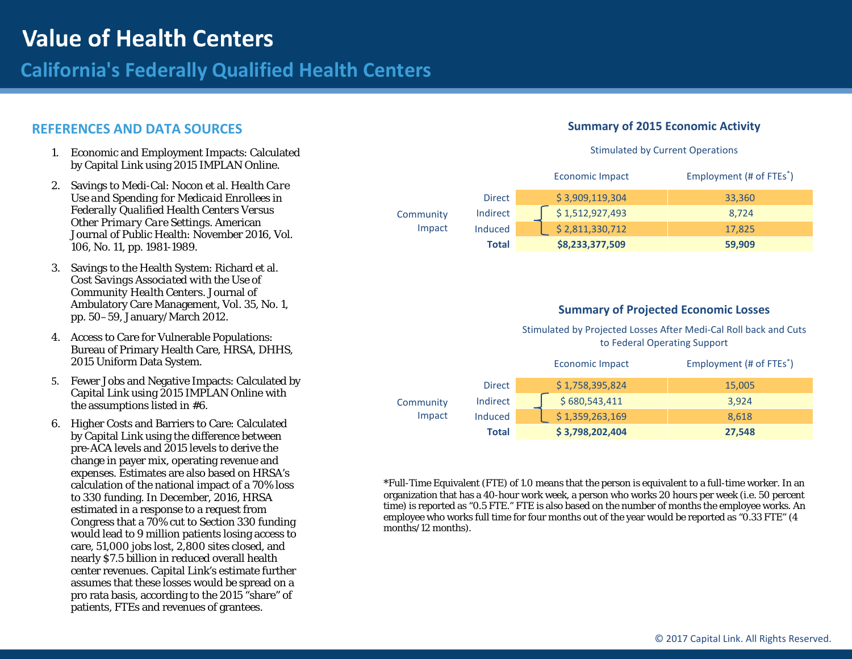### **California's Federally Qualified Health Centers**

#### **REFERENCES AND DATA SOURCES**

- 1. Economic and Employment Impacts: Calculated by Capital Link using 2015 IMPLAN Online.
- 2. Savings to Medi-Cal: Nocon et al. *Health Care Use and Spending for Medicaid Enrollees in Federally Qualified Health Centers Versus Other Primary Care Settings*. American Journal of Public Health: November 2016, Vol. 106, No. 11, pp. 1981-1989.
- 3. Savings to the Health System: Richard et al. *Cost Savings Associated with the Use of Community Health Centers*. Journal of Ambulatory Care Management, Vol. 35, No. 1, pp. 50–59, January/March 2012.
- 4. Access to Care for Vulnerable Populations: Bureau of Primary Health Care, HRSA, DHHS, 2015 Uniform Data System.
- 5. Fewer Jobs and Negative Impacts: Calculated by Capital Link using 2015 IMPLAN Online with the assumptions listed in #6.
- 6. Higher Costs and Barriers to Care: Calculated by Capital Link using the difference between pre-ACA levels and 2015 levels to derive the change in payer mix, operating revenue and expenses. Estimates are also based on HRSA's calculation of the national impact of a 70% loss to 330 funding. In December, 2016, HRSA estimated in a response to a request from Congress that a 70% cut to Section 330 funding would lead to 9 million patients losing access to care, 51,000 jobs lost, 2,800 sites closed, and nearly \$7.5 billion in reduced overall health center revenues. Capital Link's estimate further assumes that these losses would be spread on a pro rata basis, according to the 2015 "share" of patients, FTEs and revenues of grantees.

#### **Summary of 2015 Economic Activity**

#### Stimulated by Current Operations

|                     |               | Economic Impact | Employment (# of FTEs <sup>*</sup> ) |
|---------------------|---------------|-----------------|--------------------------------------|
| Community<br>Impact | <b>Direct</b> | \$3,909,119,304 | 33,360                               |
|                     | Indirect      | \$1,512,927,493 | 8.724                                |
|                     | Induced       | \$2,811,330,712 | 17.825                               |
|                     | Total         | \$8,233,377,509 | 59,909                               |

#### **Summary of Projected Economic Losses**

Stimulated by Projected Losses After Medi-Cal Roll back and Cuts to Federal Operating Support

|                     |                | <b>Economic Impact</b> | Employment (# of FTEs <sup>*</sup> ) |
|---------------------|----------------|------------------------|--------------------------------------|
| Community<br>Impact | <b>Direct</b>  | \$1,758,395,824        | 15,005                               |
|                     | Indirect       | \$680,543,411          | 3.924                                |
|                     | <b>Induced</b> | \$1,359,263,169        | 8.618                                |
|                     | Total          | \$3,798,202,404        | 27,548                               |

\*Full-Time Equivalent (FTE) of 1.0 means that the person is equivalent to a full-time worker. In an organization that has a 40-hour work week, a person who works 20 hours per week (i.e. 50 percent time) is reported as "0.5 FTE." FTE is also based on the number of months the employee works. An employee who works full time for four months out of the year would be reported as "0.33 FTE" (4 months/12 months).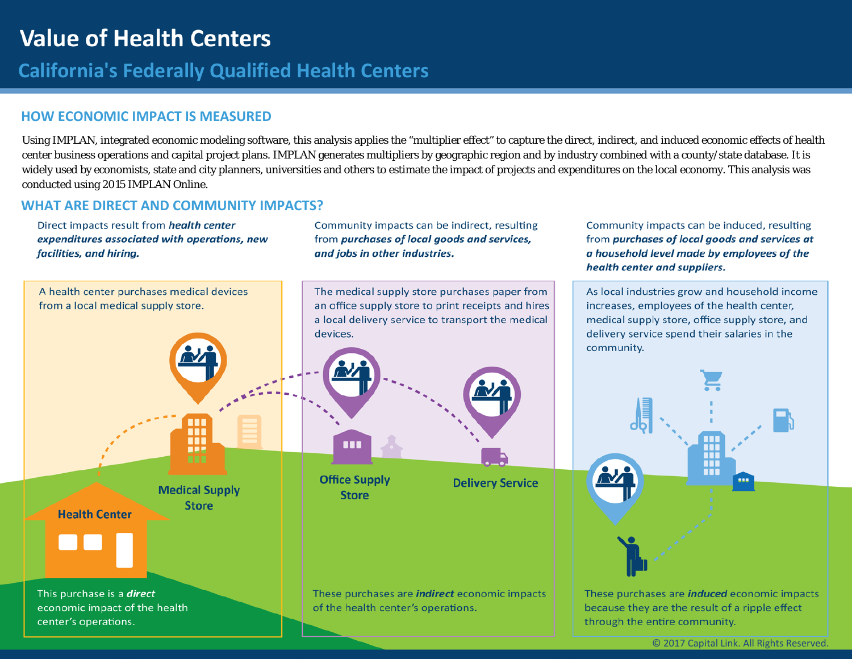### **California's Federally Qualified Health Centers**

#### **HOW ECONOMIC IMPACT IS MEASURED**

Using IMPLAN, integrated economic modeling software, this analysis applies the "multiplier effect" to capture the direct, indirect, and induced economic effects of health center business operations and capital project plans. IMPLAN generates multipliers by geographic region and by industry combined with a county/state database. It is widely used by economists, state and city planners, universities and others to estimate the impact of projects and expenditures on the local economy. This analysis was conducted using 2015 IMPLAN Online.

#### **WHAT ARE DIRECT AND COMMUNITY IMPACTS?**

Direct impacts result from health center expenditures associated with operations, new facilities, and hiring.

Community impacts can be indirect, resulting from purchases of local goods and services, and jobs in other industries.



Community impacts can be induced, resulting

from purchases of local goods and services at

a household level made by employees of the

health center and suppliers.